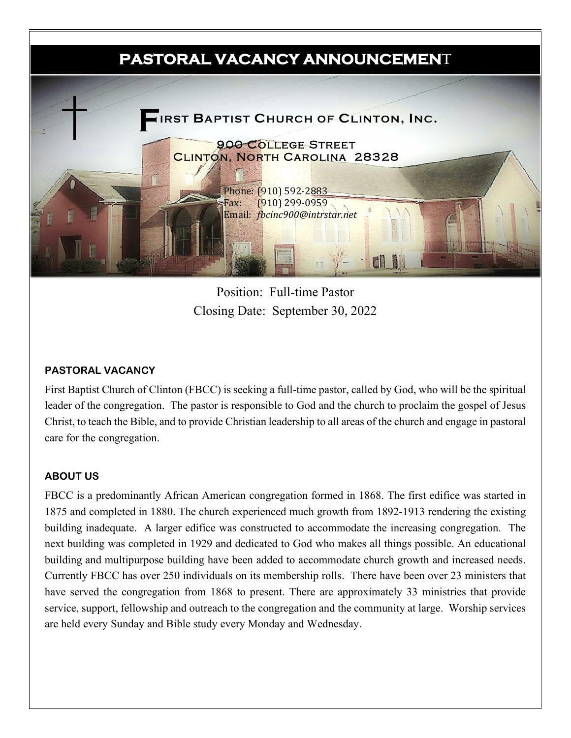

Position: Full-time Pastor Closing Date: September 30, 2022

### **PASTORAL VACANCY**

First Baptist Church of Clinton (FBCC) is seeking a full-time pastor, called by God, who will be the spiritual leader of the congregation. The pastor is responsible to God and the church to proclaim the gospel of Jesus Christ, to teach the Bible, and to provide Christian leadership to all areas of the church and engage in pastoral care for the congregation.

#### **ABOUT US**

FBCC is a predominantly African American congregation formed in 1868. The first edifice was started in 1875 and completed in 1880. The church experienced much growth from 1892-1913 rendering the existing building inadequate. A larger edifice was constructed to accommodate the increasing congregation. The next building was completed in 1929 and dedicated to God who makes all things possible. An educational building and multipurpose building have been added to accommodate church growth and increased needs. Currently FBCC has over 250 individuals on its membership rolls. There have been over 23 ministers that have served the congregation from 1868 to present. There are approximately 33 ministries that provide service, support, fellowship and outreach to the congregation and the community at large. Worship services are held every Sunday and Bible study every Monday and Wednesday.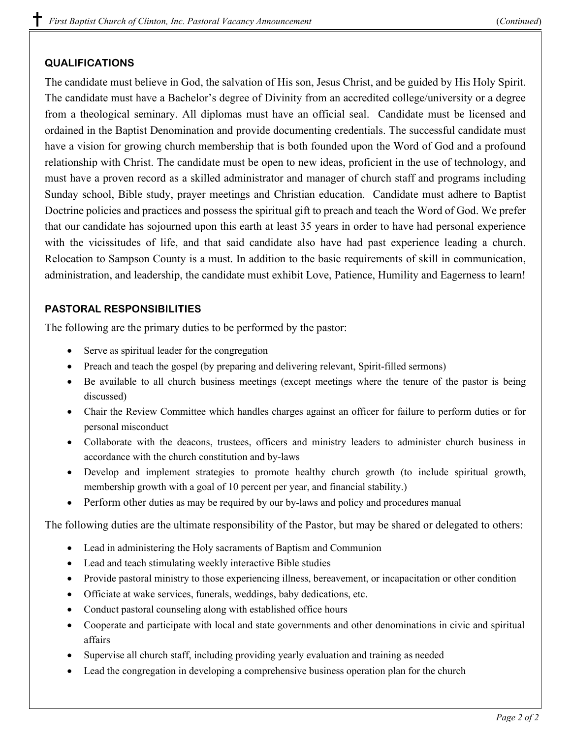# **QUALIFICATIONS**

The candidate must believe in God, the salvation of His son, Jesus Christ, and be guided by His Holy Spirit. The candidate must have a Bachelor's degree of Divinity from an accredited college/university or a degree from a theological seminary. All diplomas must have an official seal. Candidate must be licensed and ordained in the Baptist Denomination and provide documenting credentials. The successful candidate must have a vision for growing church membership that is both founded upon the Word of God and a profound relationship with Christ. The candidate must be open to new ideas, proficient in the use of technology, and must have a proven record as a skilled administrator and manager of church staff and programs including Sunday school, Bible study, prayer meetings and Christian education. Candidate must adhere to Baptist Doctrine policies and practices and possess the spiritual gift to preach and teach the Word of God. We prefer that our candidate has sojourned upon this earth at least 35 years in order to have had personal experience with the vicissitudes of life, and that said candidate also have had past experience leading a church. Relocation to Sampson County is a must. In addition to the basic requirements of skill in communication, administration, and leadership, the candidate must exhibit Love, Patience, Humility and Eagerness to learn!

# **PASTORAL RESPONSIBILITIES**

The following are the primary duties to be performed by the pastor:

- Serve as spiritual leader for the congregation
- Preach and teach the gospel (by preparing and delivering relevant, Spirit-filled sermons)
- Be available to all church business meetings (except meetings where the tenure of the pastor is being discussed)
- Chair the Review Committee which handles charges against an officer for failure to perform duties or for personal misconduct
- Collaborate with the deacons, trustees, officers and ministry leaders to administer church business in accordance with the church constitution and by-laws
- Develop and implement strategies to promote healthy church growth (to include spiritual growth, membership growth with a goal of 10 percent per year, and financial stability.)
- Perform other duties as may be required by our by-laws and policy and procedures manual

The following duties are the ultimate responsibility of the Pastor, but may be shared or delegated to others:

- Lead in administering the Holy sacraments of Baptism and Communion
- Lead and teach stimulating weekly interactive Bible studies
- Provide pastoral ministry to those experiencing illness, bereavement, or incapacitation or other condition
- Officiate at wake services, funerals, weddings, baby dedications, etc.
- Conduct pastoral counseling along with established office hours
- Cooperate and participate with local and state governments and other denominations in civic and spiritual affairs
- Supervise all church staff, including providing yearly evaluation and training as needed
- Lead the congregation in developing a comprehensive business operation plan for the church